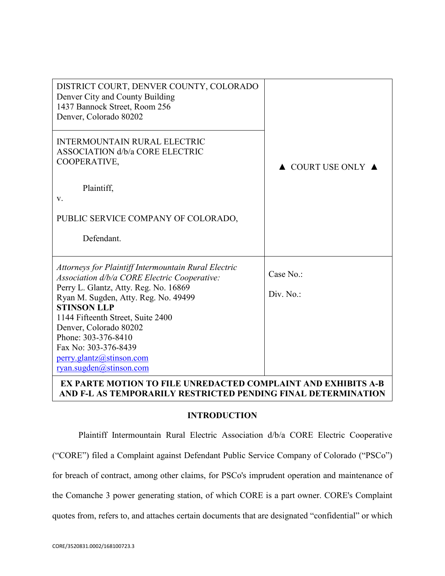| DISTRICT COURT, DENVER COUNTY, COLORADO<br>Denver City and County Building<br>1437 Bannock Street, Room 256<br>Denver, Colorado 80202 |                                        |
|---------------------------------------------------------------------------------------------------------------------------------------|----------------------------------------|
| <b>INTERMOUNTAIN RURAL ELECTRIC</b><br><b>ASSOCIATION d/b/a CORE ELECTRIC</b><br>COOPERATIVE,                                         | $\triangle$ COURT USE ONLY $\triangle$ |
| Plaintiff,<br>V.                                                                                                                      |                                        |
| PUBLIC SERVICE COMPANY OF COLORADO,                                                                                                   |                                        |
| Defendant.                                                                                                                            |                                        |
| Attorneys for Plaintiff Intermountain Rural Electric<br>Association d/b/a CORE Electric Cooperative:                                  | Case No.:                              |
| Perry L. Glantz, Atty. Reg. No. 16869<br>Ryan M. Sugden, Atty. Reg. No. 49499                                                         | Div. No.:                              |
| <b>STINSON LLP</b>                                                                                                                    |                                        |
| 1144 Fifteenth Street, Suite 2400                                                                                                     |                                        |
| Denver, Colorado 80202<br>Phone: 303-376-8410                                                                                         |                                        |
| Fax No: 303-376-8439                                                                                                                  |                                        |
| perry.glantz@stinson.com                                                                                                              |                                        |
| ryan.sugden@stinson.com                                                                                                               |                                        |
| EX PARTE MOTION TO FILE UNREDACTED COMPLAINT AND EXHIBITS A-B                                                                         |                                        |

# **AND F-L AS TEMPORARILY RESTRICTED PENDING FINAL DETERMINATION**

#### **INTRODUCTION**

Plaintiff Intermountain Rural Electric Association d/b/a CORE Electric Cooperative ("CORE") filed a Complaint against Defendant Public Service Company of Colorado ("PSCo") for breach of contract, among other claims, for PSCo's imprudent operation and maintenance of the Comanche 3 power generating station, of which CORE is a part owner. CORE's Complaint quotes from, refers to, and attaches certain documents that are designated "confidential" or which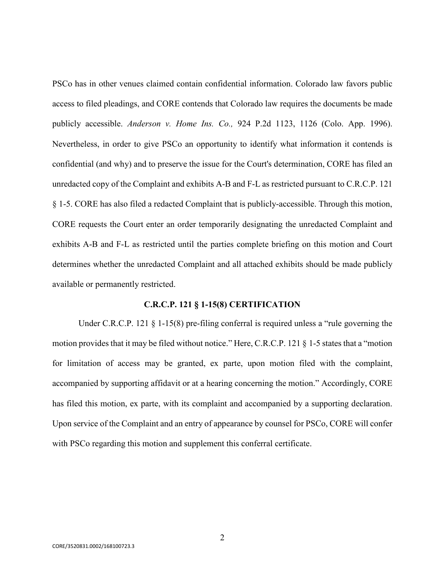PSCo has in other venues claimed contain confidential information. Colorado law favors public access to filed pleadings, and CORE contends that Colorado law requires the documents be made publicly accessible. *Anderson v. Home Ins. Co.,* 924 P.2d 1123, 1126 (Colo. App. 1996). Nevertheless, in order to give PSCo an opportunity to identify what information it contends is confidential (and why) and to preserve the issue for the Court's determination, CORE has filed an unredacted copy of the Complaint and exhibits A-B and F-L as restricted pursuant to C.R.C.P. 121 § 1-5. CORE has also filed a redacted Complaint that is publicly-accessible. Through this motion, CORE requests the Court enter an order temporarily designating the unredacted Complaint and exhibits A-B and F-L as restricted until the parties complete briefing on this motion and Court determines whether the unredacted Complaint and all attached exhibits should be made publicly available or permanently restricted.

#### **C.R.C.P. 121 § 1-15(8) CERTIFICATION**

Under C.R.C.P. 121 § 1-15(8) pre-filing conferral is required unless a "rule governing the motion provides that it may be filed without notice." Here, C.R.C.P. 121 § 1-5 states that a "motion for limitation of access may be granted, ex parte, upon motion filed with the complaint, accompanied by supporting affidavit or at a hearing concerning the motion." Accordingly, CORE has filed this motion, ex parte, with its complaint and accompanied by a supporting declaration. Upon service of the Complaint and an entry of appearance by counsel for PSCo, CORE will confer with PSCo regarding this motion and supplement this conferral certificate.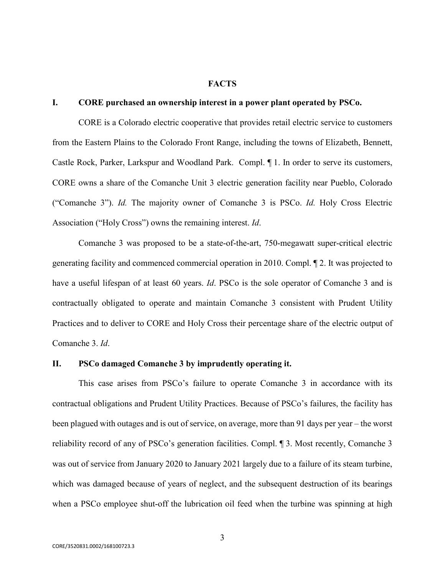### **FACTS**

#### **I. CORE purchased an ownership interest in a power plant operated by PSCo.**

CORE is a Colorado electric cooperative that provides retail electric service to customers from the Eastern Plains to the Colorado Front Range, including the towns of Elizabeth, Bennett, Castle Rock, Parker, Larkspur and Woodland Park. Compl. ¶ 1. In order to serve its customers, CORE owns a share of the Comanche Unit 3 electric generation facility near Pueblo, Colorado ("Comanche 3"). *Id.* The majority owner of Comanche 3 is PSCo. *Id.* Holy Cross Electric Association ("Holy Cross") owns the remaining interest. *Id*.

Comanche 3 was proposed to be a state-of-the-art, 750-megawatt super-critical electric generating facility and commenced commercial operation in 2010. Compl. ¶ 2. It was projected to have a useful lifespan of at least 60 years. *Id*. PSCo is the sole operator of Comanche 3 and is contractually obligated to operate and maintain Comanche 3 consistent with Prudent Utility Practices and to deliver to CORE and Holy Cross their percentage share of the electric output of Comanche 3. *Id*.

## **II. PSCo damaged Comanche 3 by imprudently operating it.**

This case arises from PSCo's failure to operate Comanche 3 in accordance with its contractual obligations and Prudent Utility Practices. Because of PSCo's failures, the facility has been plagued with outages and is out of service, on average, more than 91 days per year – the worst reliability record of any of PSCo's generation facilities. Compl. ¶ 3. Most recently, Comanche 3 was out of service from January 2020 to January 2021 largely due to a failure of its steam turbine, which was damaged because of years of neglect, and the subsequent destruction of its bearings when a PSCo employee shut-off the lubrication oil feed when the turbine was spinning at high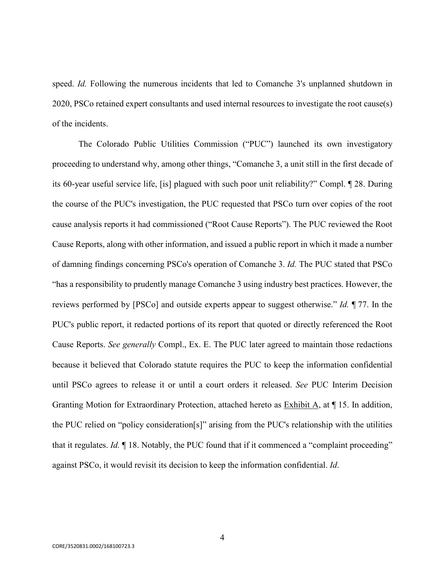speed. *Id.* Following the numerous incidents that led to Comanche 3's unplanned shutdown in 2020, PSCo retained expert consultants and used internal resources to investigate the root cause(s) of the incidents.

The Colorado Public Utilities Commission ("PUC") launched its own investigatory proceeding to understand why, among other things, "Comanche 3, a unit still in the first decade of its 60-year useful service life, [is] plagued with such poor unit reliability?" Compl. ¶ 28. During the course of the PUC's investigation, the PUC requested that PSCo turn over copies of the root cause analysis reports it had commissioned ("Root Cause Reports"). The PUC reviewed the Root Cause Reports, along with other information, and issued a public report in which it made a number of damning findings concerning PSCo's operation of Comanche 3. *Id.* The PUC stated that PSCo "has a responsibility to prudently manage Comanche 3 using industry best practices. However, the reviews performed by [PSCo] and outside experts appear to suggest otherwise." *Id.* ¶ 77. In the PUC's public report, it redacted portions of its report that quoted or directly referenced the Root Cause Reports. *See generally* Compl., Ex. E. The PUC later agreed to maintain those redactions because it believed that Colorado statute requires the PUC to keep the information confidential until PSCo agrees to release it or until a court orders it released. *See* PUC Interim Decision Granting Motion for Extraordinary Protection, attached hereto as Exhibit A, at ¶ 15. In addition, the PUC relied on "policy consideration[s]" arising from the PUC's relationship with the utilities that it regulates. *Id.* ¶ 18. Notably, the PUC found that if it commenced a "complaint proceeding" against PSCo, it would revisit its decision to keep the information confidential. *Id*.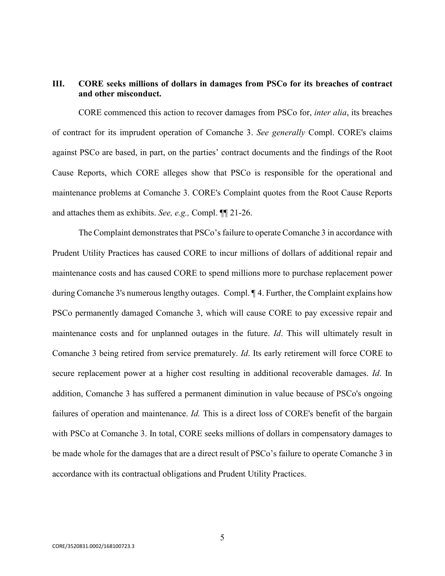## **III. CORE seeks millions of dollars in damages from PSCo for its breaches of contract and other misconduct.**

CORE commenced this action to recover damages from PSCo for, *inter alia*, its breaches of contract for its imprudent operation of Comanche 3. *See generally* Compl. CORE's claims against PSCo are based, in part, on the parties' contract documents and the findings of the Root Cause Reports, which CORE alleges show that PSCo is responsible for the operational and maintenance problems at Comanche 3. CORE's Complaint quotes from the Root Cause Reports and attaches them as exhibits. *See, e.g.,* Compl. ¶¶ 21-26.

The Complaint demonstrates that PSCo's failure to operate Comanche 3 in accordance with Prudent Utility Practices has caused CORE to incur millions of dollars of additional repair and maintenance costs and has caused CORE to spend millions more to purchase replacement power during Comanche 3's numerous lengthy outages. Compl. ¶ 4. Further, the Complaint explains how PSCo permanently damaged Comanche 3, which will cause CORE to pay excessive repair and maintenance costs and for unplanned outages in the future. *Id*. This will ultimately result in Comanche 3 being retired from service prematurely. *Id*. Its early retirement will force CORE to secure replacement power at a higher cost resulting in additional recoverable damages. *Id*. In addition, Comanche 3 has suffered a permanent diminution in value because of PSCo's ongoing failures of operation and maintenance. *Id.* This is a direct loss of CORE's benefit of the bargain with PSCo at Comanche 3. In total, CORE seeks millions of dollars in compensatory damages to be made whole for the damages that are a direct result of PSCo's failure to operate Comanche 3 in accordance with its contractual obligations and Prudent Utility Practices.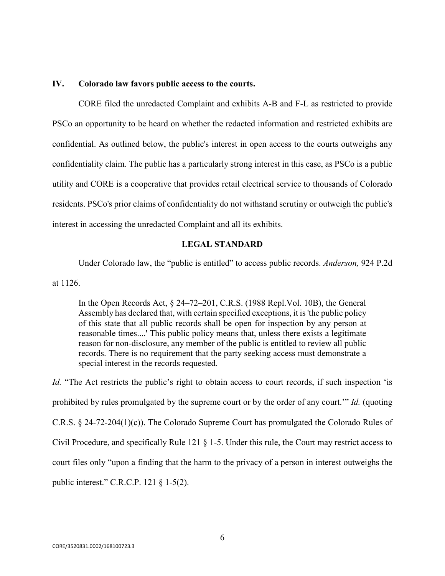#### **IV. Colorado law favors public access to the courts.**

CORE filed the unredacted Complaint and exhibits A-B and F-L as restricted to provide PSCo an opportunity to be heard on whether the redacted information and restricted exhibits are confidential. As outlined below, the public's interest in open access to the courts outweighs any confidentiality claim. The public has a particularly strong interest in this case, as PSCo is a public utility and CORE is a cooperative that provides retail electrical service to thousands of Colorado residents. PSCo's prior claims of confidentiality do not withstand scrutiny or outweigh the public's interest in accessing the unredacted Complaint and all its exhibits.

#### **LEGAL STANDARD**

Under Colorado law, the "public is entitled" to access public records. *Anderson,* 924 P.2d at 1126.

In the Open Records Act, § 24–72–201, C.R.S. (1988 Repl.Vol. 10B), the General Assembly has declared that, with certain specified exceptions, it is 'the public policy of this state that all public records shall be open for inspection by any person at reasonable times....' This public policy means that, unless there exists a legitimate reason for non-disclosure, any member of the public is entitled to review all public records. There is no requirement that the party seeking access must demonstrate a special interest in the records requested.

*Id.* "The Act restricts the public's right to obtain access to court records, if such inspection 'is prohibited by rules promulgated by the supreme court or by the order of any court.'" *Id.* (quoting C.R.S. § 24-72-204(1)(c)). The Colorado Supreme Court has promulgated the Colorado Rules of Civil Procedure, and specifically Rule 121 § 1-5. Under this rule, the Court may restrict access to court files only "upon a finding that the harm to the privacy of a person in interest outweighs the public interest." C.R.C.P. 121 § 1-5(2).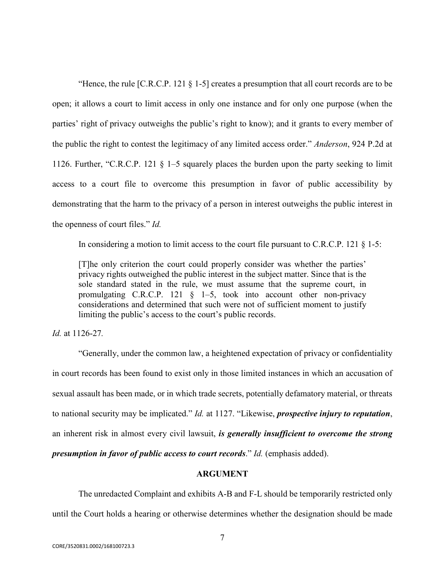"Hence, the rule [C.R.C.P. 121 § 1-5] creates a presumption that all court records are to be open; it allows a court to limit access in only one instance and for only one purpose (when the parties' right of privacy outweighs the public's right to know); and it grants to every member of the public the right to contest the legitimacy of any limited access order." *Anderson*, 924 P.2d at 1126. Further, "C.R.C.P. 121 § 1–5 squarely places the burden upon the party seeking to limit access to a court file to overcome this presumption in favor of public accessibility by demonstrating that the harm to the privacy of a person in interest outweighs the public interest in the openness of court files." *Id.*

In considering a motion to limit access to the court file pursuant to C.R.C.P. 121  $\S$  1-5:

[T]he only criterion the court could properly consider was whether the parties' privacy rights outweighed the public interest in the subject matter. Since that is the sole standard stated in the rule, we must assume that the supreme court, in promulgating C.R.C.P. 121 § 1–5, took into account other non-privacy considerations and determined that such were not of sufficient moment to justify limiting the public's access to the court's public records.

*Id.* at 1126-27*.*

"Generally, under the common law, a heightened expectation of privacy or confidentiality in court records has been found to exist only in those limited instances in which an accusation of sexual assault has been made, or in which trade secrets, potentially defamatory material, or threats to national security may be implicated." *Id.* at 1127. "Likewise, *prospective injury to reputation*, an inherent risk in almost every civil lawsuit, *is generally insufficient to overcome the strong presumption in favor of public access to court records*." *Id.* (emphasis added).

## **ARGUMENT**

The unredacted Complaint and exhibits A-B and F-L should be temporarily restricted only until the Court holds a hearing or otherwise determines whether the designation should be made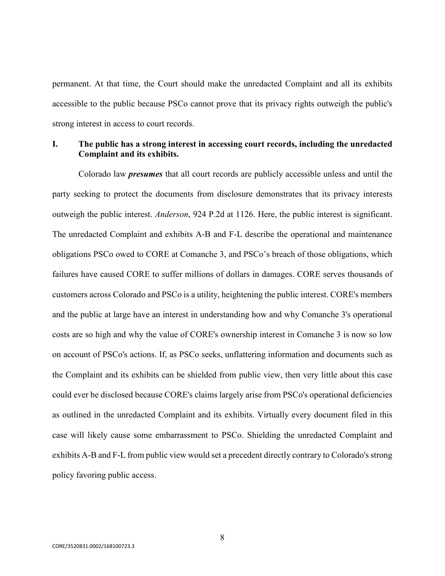permanent. At that time, the Court should make the unredacted Complaint and all its exhibits accessible to the public because PSCo cannot prove that its privacy rights outweigh the public's strong interest in access to court records.

## **I. The public has a strong interest in accessing court records, including the unredacted Complaint and its exhibits.**

Colorado law *presumes* that all court records are publicly accessible unless and until the party seeking to protect the documents from disclosure demonstrates that its privacy interests outweigh the public interest. *Anderson*, 924 P.2d at 1126. Here, the public interest is significant. The unredacted Complaint and exhibits A-B and F-L describe the operational and maintenance obligations PSCo owed to CORE at Comanche 3, and PSCo's breach of those obligations, which failures have caused CORE to suffer millions of dollars in damages. CORE serves thousands of customers across Colorado and PSCo is a utility, heightening the public interest. CORE's members and the public at large have an interest in understanding how and why Comanche 3's operational costs are so high and why the value of CORE's ownership interest in Comanche 3 is now so low on account of PSCo's actions. If, as PSCo seeks, unflattering information and documents such as the Complaint and its exhibits can be shielded from public view, then very little about this case could ever be disclosed because CORE's claims largely arise from PSCo's operational deficiencies as outlined in the unredacted Complaint and its exhibits. Virtually every document filed in this case will likely cause some embarrassment to PSCo. Shielding the unredacted Complaint and exhibits A-B and F-L from public view would set a precedent directly contrary to Colorado's strong policy favoring public access.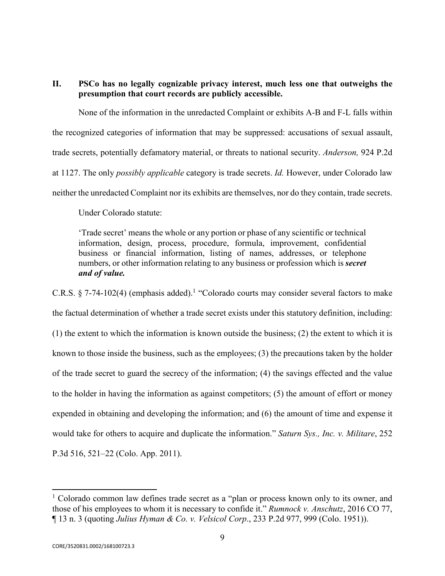**II. PSCo has no legally cognizable privacy interest, much less one that outweighs the presumption that court records are publicly accessible.** 

None of the information in the unredacted Complaint or exhibits A-B and F-L falls within the recognized categories of information that may be suppressed: accusations of sexual assault, trade secrets, potentially defamatory material, or threats to national security. *Anderson,* 924 P.2d at 1127. The only *possibly applicable* category is trade secrets. *Id.* However, under Colorado law neither the unredacted Complaint nor its exhibits are themselves, nor do they contain, trade secrets.

Under Colorado statute:

'Trade secret' means the whole or any portion or phase of any scientific or technical information, design, process, procedure, formula, improvement, confidential business or financial information, listing of names, addresses, or telephone numbers, or other information relating to any business or profession which is *secret and of value.* 

C.R.S. § 7-74-102(4) (emphasis added).<sup>1</sup> "Colorado courts may consider several factors to make the factual determination of whether a trade secret exists under this statutory definition, including: (1) the extent to which the information is known outside the business; (2) the extent to which it is known to those inside the business, such as the employees; (3) the precautions taken by the holder of the trade secret to guard the secrecy of the information; (4) the savings effected and the value to the holder in having the information as against competitors; (5) the amount of effort or money expended in obtaining and developing the information; and (6) the amount of time and expense it would take for others to acquire and duplicate the information." *Saturn Sys., Inc. v. Militare*, 252 P.3d 516, 521–22 (Colo. App. 2011).

<sup>&</sup>lt;sup>1</sup> Colorado common law defines trade secret as a "plan or process known only to its owner, and those of his employees to whom it is necessary to confide it." *Rumnock v. Anschutz*, 2016 CO 77, ¶ 13 n. 3 (quoting *Julius Hyman & Co. v. Velsicol Corp*., 233 P.2d 977, 999 (Colo. 1951)).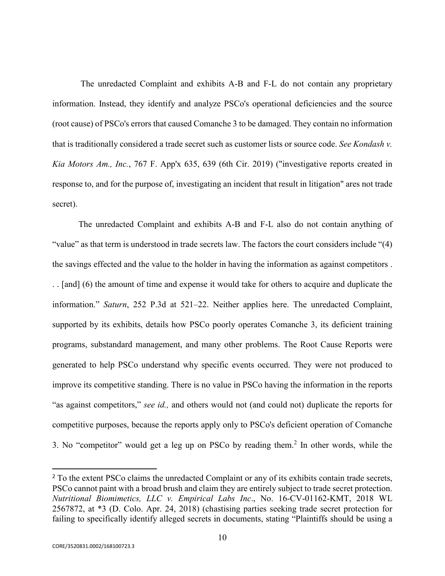The unredacted Complaint and exhibits A-B and F-L do not contain any proprietary information. Instead, they identify and analyze PSCo's operational deficiencies and the source (root cause) of PSCo's errors that caused Comanche 3 to be damaged. They contain no information that is traditionally considered a trade secret such as customer lists or source code. *See Kondash v. Kia Motors Am., Inc.*, 767 F. App'x 635, 639 (6th Cir. 2019) ("investigative reports created in response to, and for the purpose of, investigating an incident that result in litigation" ares not trade secret).

The unredacted Complaint and exhibits A-B and F-L also do not contain anything of "value" as that term is understood in trade secrets law. The factors the court considers include "(4) the savings effected and the value to the holder in having the information as against competitors . . . [and] (6) the amount of time and expense it would take for others to acquire and duplicate the information." *Saturn*, 252 P.3d at 521–22. Neither applies here. The unredacted Complaint, supported by its exhibits, details how PSCo poorly operates Comanche 3, its deficient training programs, substandard management, and many other problems. The Root Cause Reports were generated to help PSCo understand why specific events occurred. They were not produced to improve its competitive standing. There is no value in PSCo having the information in the reports "as against competitors," *see id.,* and others would not (and could not) duplicate the reports for competitive purposes, because the reports apply only to PSCo's deficient operation of Comanche 3. No "competitor" would get a leg up on PSCo by reading them.<sup>2</sup> In other words, while the

<sup>&</sup>lt;sup>2</sup> To the extent PSCo claims the unredacted Complaint or any of its exhibits contain trade secrets, PSCo cannot paint with a broad brush and claim they are entirely subject to trade secret protection. *Nutritional Biomimetics, LLC v. Empirical Labs Inc*., No. 16-CV-01162-KMT, 2018 WL 2567872, at \*3 (D. Colo. Apr. 24, 2018) (chastising parties seeking trade secret protection for failing to specifically identify alleged secrets in documents, stating "Plaintiffs should be using a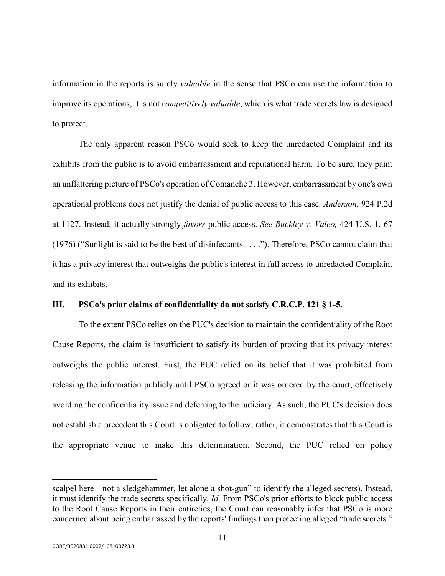information in the reports is surely *valuable* in the sense that PSCo can use the information to improve its operations, it is not *competitively valuable*, which is what trade secrets law is designed to protect.

The only apparent reason PSCo would seek to keep the unredacted Complaint and its exhibits from the public is to avoid embarrassment and reputational harm. To be sure, they paint an unflattering picture of PSCo's operation of Comanche 3. However, embarrassment by one's own operational problems does not justify the denial of public access to this case. *Anderson,* 924 P.2d at 1127. Instead, it actually strongly *favors* public access. *See Buckley v. Valeo,* 424 U.S. 1, 67 (1976) ("Sunlight is said to be the best of disinfectants . . . ."). Therefore, PSCo cannot claim that it has a privacy interest that outweighs the public's interest in full access to unredacted Complaint and its exhibits.

#### **III. PSCo's prior claims of confidentiality do not satisfy C.R.C.P. 121 § 1-5.**

To the extent PSCo relies on the PUC's decision to maintain the confidentiality of the Root Cause Reports, the claim is insufficient to satisfy its burden of proving that its privacy interest outweighs the public interest. First, the PUC relied on its belief that it was prohibited from releasing the information publicly until PSCo agreed or it was ordered by the court, effectively avoiding the confidentiality issue and deferring to the judiciary. As such, the PUC's decision does not establish a precedent this Court is obligated to follow; rather, it demonstrates that this Court is the appropriate venue to make this determination. Second, the PUC relied on policy

scalpel here—not a sledgehammer, let alone a shot-gun" to identify the alleged secrets). Instead, it must identify the trade secrets specifically. *Id.* From PSCo's prior efforts to block public access to the Root Cause Reports in their entireties, the Court can reasonably infer that PSCo is more concerned about being embarrassed by the reports' findings than protecting alleged "trade secrets."